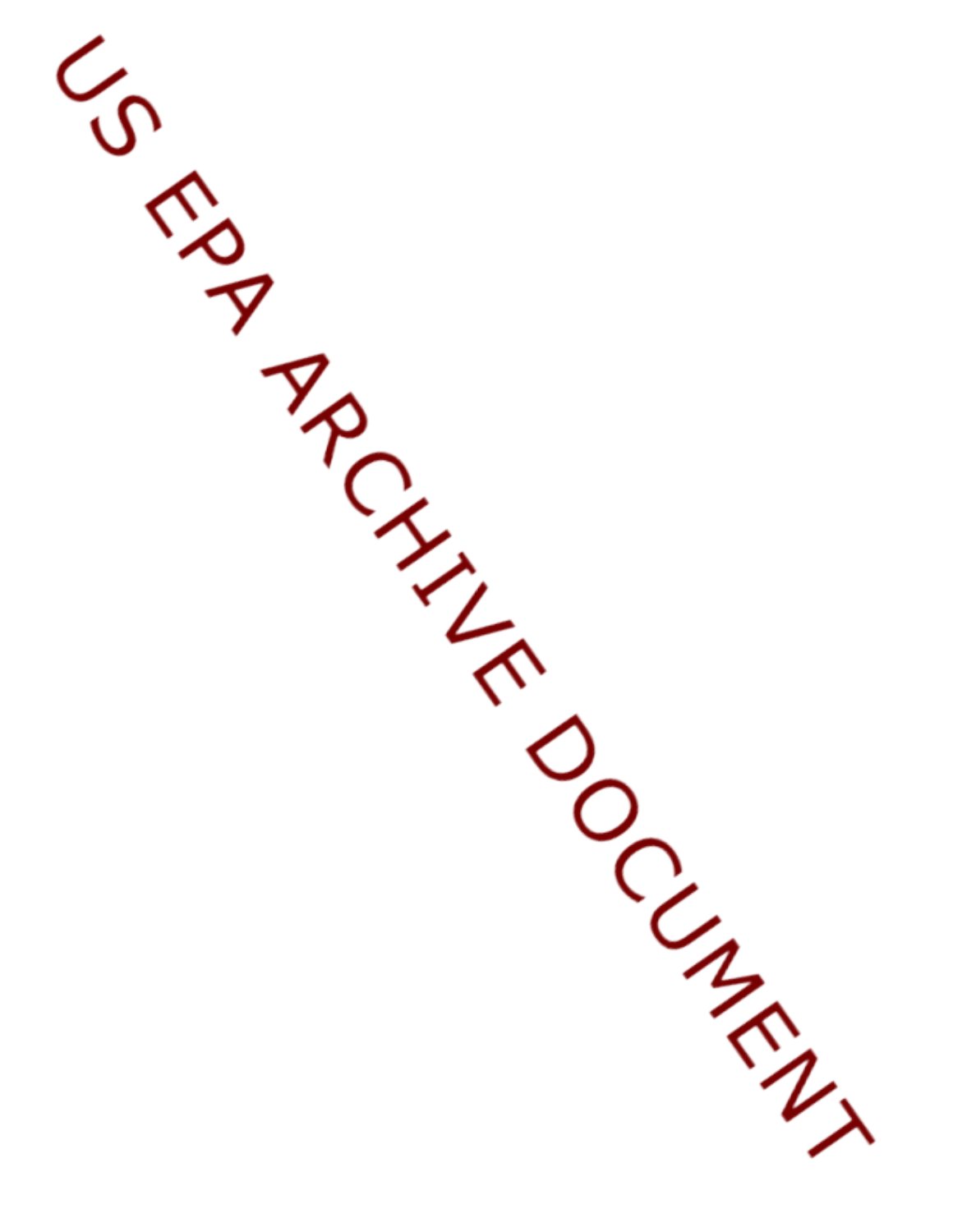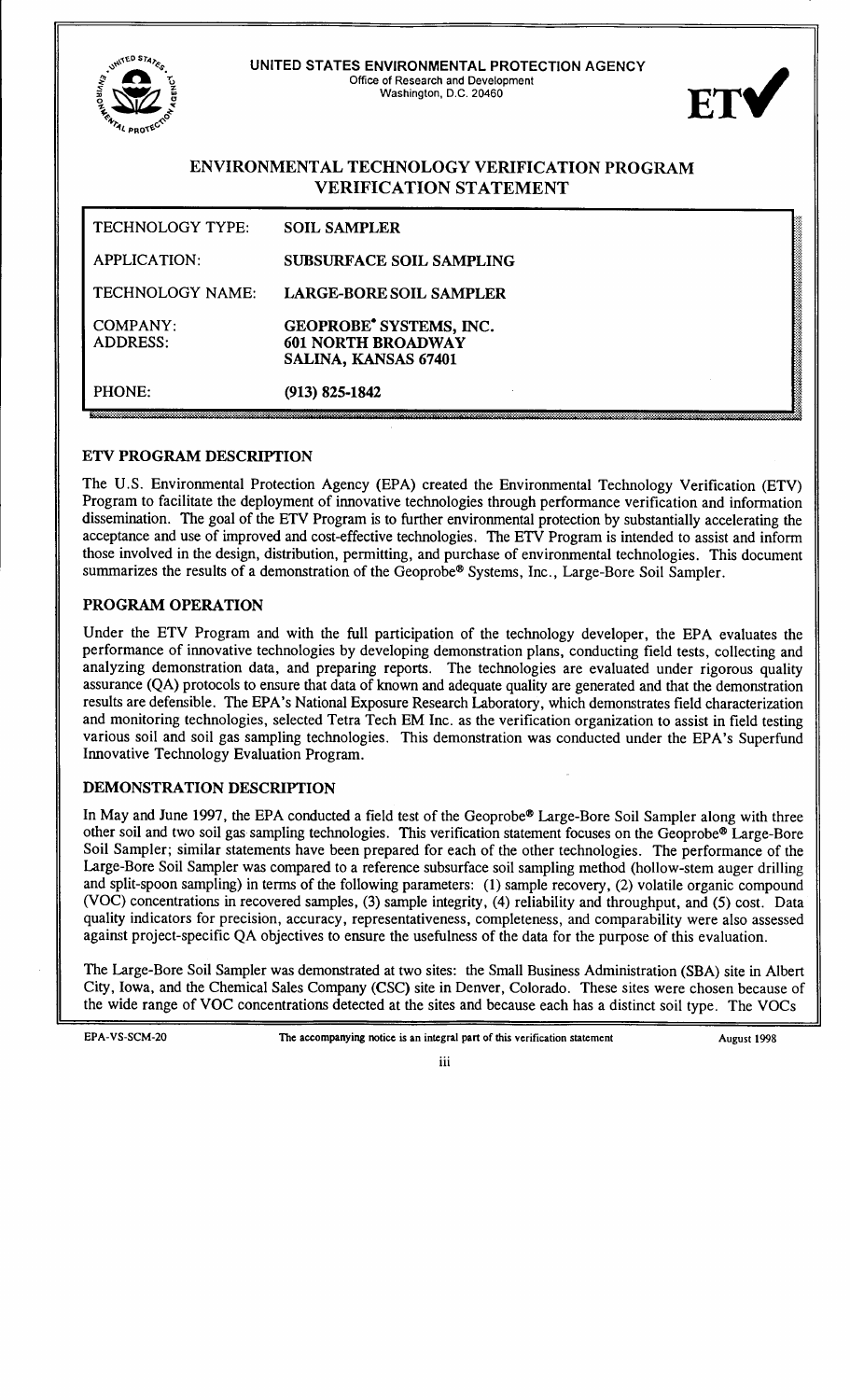| ,UNITED ST<br>ENVIRONA                                                         | UNITED STATES ENVIRONMENTAL PROTECTION AGENCY<br>Office of Research and Development<br>Washington, D.C. 20460 | ETV |
|--------------------------------------------------------------------------------|---------------------------------------------------------------------------------------------------------------|-----|
| ENVIRONMENTAL TECHNOLOGY VERIFICATION PROGRAM<br><b>VERIFICATION STATEMENT</b> |                                                                                                               |     |
| TECHNOLOGY TYPE:                                                               | <b>SOIL SAMPLER</b>                                                                                           |     |
| <b>APPLICATION:</b>                                                            | <b>SUBSURFACE SOIL SAMPLING</b>                                                                               |     |
| TECHNOLOGY NAME:                                                               | <b>LARGE-BORE SOIL SAMPLER</b>                                                                                |     |
| <b>COMPANY:</b><br><b>ADDRESS:</b>                                             | GEOPROBE <sup>*</sup> SYSTEMS, INC.<br><b>601 NORTH BROADWAY</b><br>SALINA, KANSAS 67401                      |     |
| PHONE:                                                                         | $(913) 825 - 1842$                                                                                            |     |

### **ETV PROGRAM DESCRIPTION**

The U.S. Environmental Protection Agency (EPA) created the Environmental Technology Verification (ETV) Program to facilitate the deployment of innovative technologies through performance verification and information dissemination. The goal of the ETV Program is to further environmental protection by substantially accelerating the acceptance and use of improved and cost-effective technologies. The ETV Program is intended to assist and inform those involved in the design, distribution, permitting, and purchase of environmental technologies. This document summarizes the results of a demonstration of the Geoprobe® Systems, Inc., Large-Bore Soil Sampler.

#### PROGRAM OPERATION

Under the ETV Program and with the full participation of the technology developer, the EPA evaluates the performance of innovative technologies by developing demonstration plans, conducting field tests, collecting and analyzing demonstration data, and preparing reports. The technologies are evaluated under rigorous quality assurance (QA) protocols to ensure that data of known and adequate quality are generated and that the demonstration results are defensible. The EPA's National Exposure Research Laboratory, which demonstrates field characterization and monitoring technologies, selected Tetra Tech EM Inc. as the verification organization to assist in field testing various soil and soil gas sampling technologies. This demonstration was conducted under the EPA's Superfund Innovative Technology Evaluation Program.

### DEMONSTRATION DESCRIPTION

In May and June 1997, the EPA conducted a field test of the Geoprobe® Large-Bore Soil Sampler along with three other soil and two soil gas sampling technologies. This verification statement focuses on the Geoprobe® Large-Bore Soil Sampler; similar statements have been prepared for each of the other technologies. The performance of the Large-Bore Soil Sampler was compared to a reference subsurface soil sampling method (hollow-stem auger drilling and split-spoon sampling) in terms of the following parameters: (1) sample recovery, (2) volatile organic compound (VOC) concentrations in recovered samples, (3) sample integrity, (4) reliability and throughput, and (5) cost. Data quality indicators for precision, accuracy, representativeness, completeness, and comparability were also assessed against project-specific QA objectives to ensure the usefulness of the data for the purpose of this evaluation.

The Large-Bore Soil Sampler was demonstrated at two sites: the Small Business Administration (SBA) site in Albert City, Iowa, and the Chemical Sales Company (CSC) site in Denver, Colorado. These sites were chosen because of the wide range of VOC concentrations detected at the sites and because each has a distinct soil type. The VOCs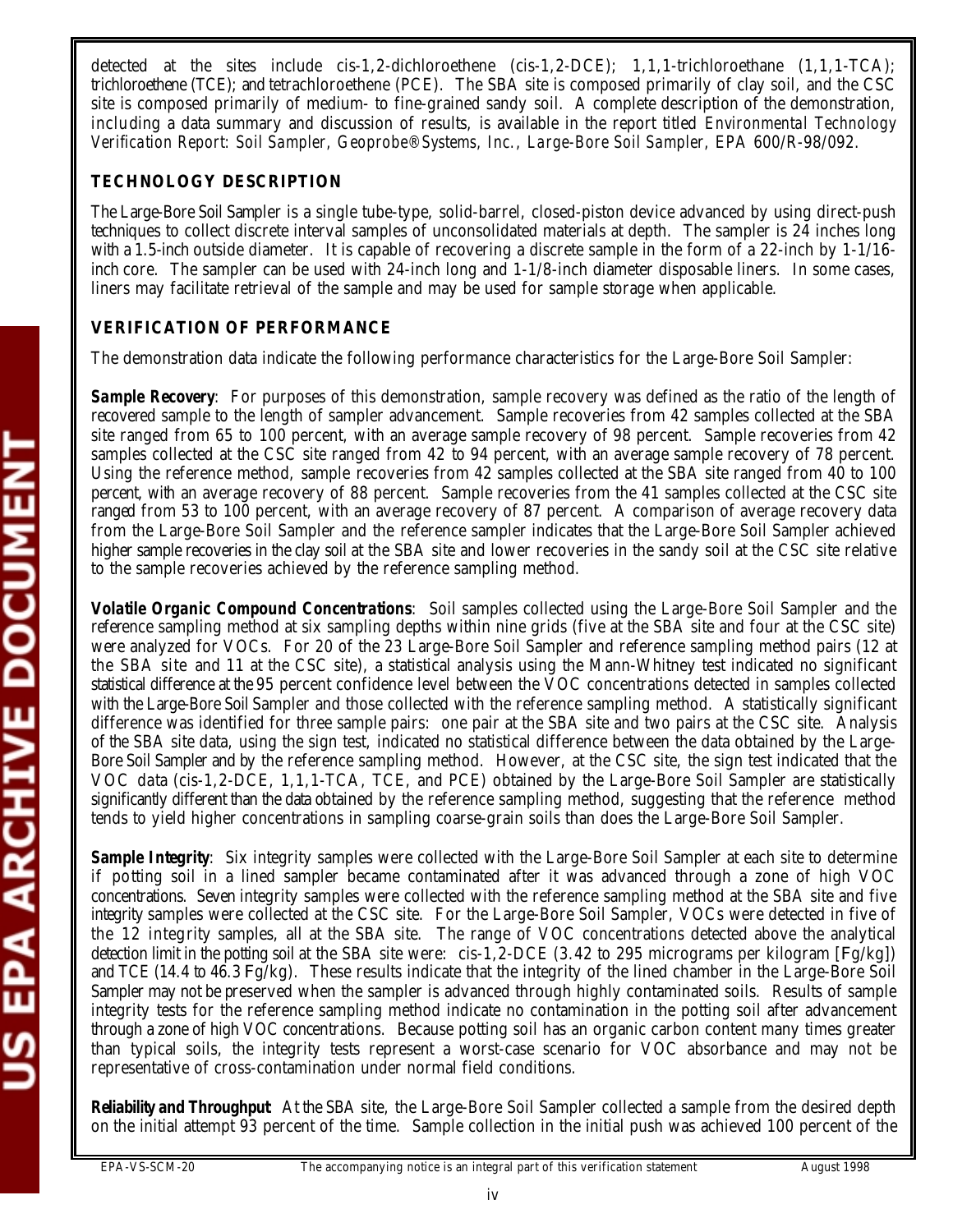detected at the sites include cis-1,2-dichloroethene (cis-1,2-DCE); 1,1,1-trichloroethane (1,1,1-TCA); trichloroethene (TCE); and tetrachloroethene (PCE). The SBA site is composed primarily of clay soil, and the CSC site is composed primarily of medium- to fine-grained sandy soil. A complete description of the demonstration, including a data summary and discussion of results, is available in the report titled *Environmental Technology Verification Report: Soil Sampler, Geoprobe® Systems, Inc., Large-Bore Soil Sampler,* EPA 600/R-98/092.

## **TECHNOLOGY DESCRIPTION**

The Large-Bore Soil Sampler is a single tube-type, solid-barrel, closed-piston device advanced by using direct-push techniques to collect discrete interval samples of unconsolidated materials at depth. The sampler is 24 inches long with a 1.5-inch outside diameter. It is capable of recovering a discrete sample in the form of a 22-inch by 1-1/16inch core. The sampler can be used with 24-inch long and 1-1/8-inch diameter disposable liners. In some cases, liners may facilitate retrieval of the sample and may be used for sample storage when applicable.

# **VERIFICATION OF PERFORMANCE**

The demonstration data indicate the following performance characteristics for the Large-Bore Soil Sampler:

**Sample Recovery**: For purposes of this demonstration, sample recovery was defined as the ratio of the length of recovered sample to the length of sampler advancement. Sample recoveries from 42 samples collected at the SBA site ranged from 65 to 100 percent, with an average sample recovery of 98 percent. Sample recoveries from 42 samples collected at the CSC site ranged from 42 to 94 percent, with an average sample recovery of 78 percent. Using the reference method, sample recoveries from 42 samples collected at the SBA site ranged from 40 to 100 percent, with an average recovery of 88 percent. Sample recoveries from the 41 samples collected at the CSC site ranged from 53 to 100 percent, with an average recovery of 87 percent. A comparison of average recovery data from the Large-Bore Soil Sampler and the reference sampler indicates that the Large-Bore Soil Sampler achieved higher sample recoveries in the clay soil at the SBA site and lower recoveries in the sandy soil at the CSC site relative to the sample recoveries achieved by the reference sampling method.

*Volatile Organic Compound Concentrations*: Soil samples collected using the Large-Bore Soil Sampler and the reference sampling method at six sampling depths within nine grids (five at the SBA site and four at the CSC site) were analyzed for VOCs. For 20 of the 23 Large-Bore Soil Sampler and reference sampling method pairs (12 at the SBA site and 11 at the CSC site), a statistical analysis using the Mann-Whitney test indicated no significant statistical difference at the 95 percent confidence level between the VOC concentrations detected in samples collected with the Large-Bore Soil Sampler and those collected with the reference sampling method. A statistically significant difference was identified for three sample pairs: one pair at the SBA site and two pairs at the CSC site. Analysis of the SBA site data, using the sign test, indicated no statistical difference between the data obtained by the Large-Bore Soil Sampler and by the reference sampling method. However, at the CSC site, the sign test indicated that the VOC data (cis-1,2-DCE, 1,1,1-TCA, TCE, and PCE) obtained by the Large-Bore Soil Sampler are statistically significantly different than the data obtained by the reference sampling method, suggesting that the reference method tends to yield higher concentrations in sampling coarse-grain soils than does the Large-Bore Soil Sampler.

*Sample Integrity:* Six integrity samples were collected with the Large-Bore Soil Sampler at each site to determine if potting soil in a lined sampler became contaminated after it was advanced through a zone of high VOC concentrations. Seven integrity samples were collected with the reference sampling method at the SBA site and five integrity samples were collected at the CSC site. For the Large-Bore Soil Sampler, VOCs were detected in five of the 12 integrity samples, all at the SBA site. The range of VOC concentrations detected above the analytical detection limit in the potting soil at the SBA site were: cis-1,2-DCE (3.42 to 295 micrograms per kilogram [Fg/kg]) and TCE (14.4 to 46.3 Fg/kg). These results indicate that the integrity of the lined chamber in the Large-Bore Soil Sampler may not be preserved when the sampler is advanced through highly contaminated soils. Results of sample integrity tests for the reference sampling method indicate no contamination in the potting soil after advancement through a zone of high VOC concentrations. Because potting soil has an organic carbon content many times greater than typical soils, the integrity tests represent a worst-case scenario for VOC absorbance and may not be representative of cross-contamination under normal field conditions.

*Reliability and Throughput*: At the SBA site, the Large-Bore Soil Sampler collected a sample from the desired depth on the initial attempt 93 percent of the time. Sample collection in the initial push was achieved 100 percent of the